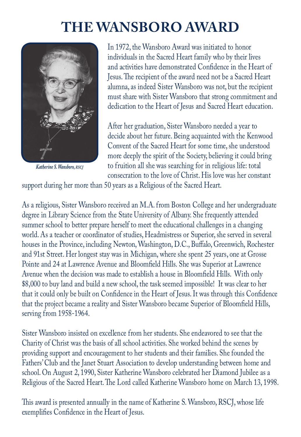## **The Wansboro Award**



*Katherine S. Wansboro, rscj*

In 1972, the Wansboro Award was initiated to honor individuals in the Sacred Heart family who by their lives and activities have demonstrated Confidence in the Heart of Jesus. The recipient of the award need not be a Sacred Heart alumna, as indeed Sister Wansboro was not, but the recipient must share with Sister Wansboro that strong commitment and dedication to the Heart of Jesus and Sacred Heart education.

After her graduation, Sister Wansboro needed a year to decide about her future. Being acquainted with the Kenwood Convent of the Sacred Heart for some time, she understood more deeply the spirit of the Society, believing it could bring to fruition all she was searching for in religious life: total consecration to the love of Christ. His love was her constant

support during her more than 50 years as a Religious of the Sacred Heart.

As a religious, Sister Wansboro received an M.A. from Boston College and her undergraduate degree in Library Science from the State University of Albany. She frequently attended summer school to better prepare herself to meet the educational challenges in a changing world. As a teacher or coordinator of studies, Headmistress or Superior, she served in several houses in the Province, including Newton, Washington, D.C., Buffalo, Greenwich, Rochester and 91st Street. Her longest stay was in Michigan, where she spent 25 years, one at Grosse Pointe and 24 at Lawrence Avenue and Bloomfield Hills. She was Superior at Lawrence Avenue when the decision was made to establish a house in Bloomfield Hills. With only \$8,000 to buy land and build a new school, the task seemed impossible! It was clear to her that it could only be built on Confidence in the Heart of Jesus. It was through this Confidence that the project became a reality and Sister Wansboro became Superior of Bloomfield Hills, serving from 1958-1964.

Sister Wansboro insisted on excellence from her students. She endeavored to see that the Charity of Christ was the basis of all school activities. She worked behind the scenes by providing support and encouragement to her students and their families. She founded the Fathers' Club and the Janet Stuart Association to develop understanding between home and school. On August 2, 1990, Sister Katherine Wansboro celebrated her Diamond Jubilee as a Religious of the Sacred Heart. The Lord called Katherine Wansboro home on March 13, 1998.

This award is presented annually in the name of Katherine S. Wansboro, RSCJ, whose life exemplifies Confidence in the Heart of Jesus.